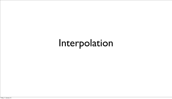#### Interpolation

Friday, 11 January 13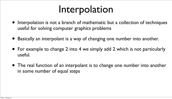### Interpolation

- Interpolation is not a branch of mathematic but a collection of techniques useful for solving computer graphics problems
- Basically an interpolant is a way of changing one number into another.
- For example to change 2 into 4 we simply add 2 which is not particularly useful.
- The real function of an interpolant is to change one number into another in some number of equal steps





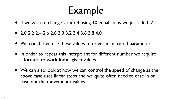#### Example

- If we wish to change 2 into 4 using 10 equal steps we just add 0.2
- 2.0 2.2 2.4 2.6 2.8 3.0 3.2 3.4 3.6 3.8 4.0
- We could then use these values to drive an animated parameter
- In order to repeat this interpolant for different number we require a formula to work for all given values
- We can also look at how we can control the speed of change as the above case uses linear steps and we quite often need to ease in or ease out the movement / values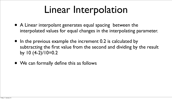#### Linear Interpolation

- A Linear interpolant generates equal spacing between the interpolated values for equal changes in the interpolating parameter.
- In the previous example the increment 0.2 is calculated by subtracting the first value from the second and dividing by the result by  $10 (4-2)/10=0.2$
- We can formally define this as follows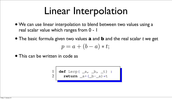#### Linear Interpolation

• We can use linear interpolation to blend between two values using a

• The basic formula given two values **a** and **b** and the real scalar *t* we get  $p = a + (b - a) * t;$ 

- real scalar value which ranges from 0 1
- 

• This can be written in code as

$$
\begin{array}{c|c} 1 & \text{def } \text{Lerp} \, (\_\text{a, b, t}) : \\ 2 & \text{return } \text{a + } (\text{b - a}) * t \end{array}
$$

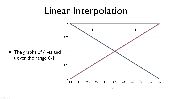#### • The graphs of (1-t) and t over the range 0-1 0.5



0.25

0.75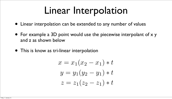#### Linear Interpolation

- Linear interpolation can be extended to any number of values
- For example a 3D point would use the piecewise interpolant of x y and z as shown below
- This is know as tri-linear interpolation

$$
x = x_1(x_2 - x_1) * t
$$
  

$$
y = y_1(y_2 - y_1) * t
$$
  

$$
z = z_1(z_2 - z_1) * t
$$

$$
x = x_1(x_2 - x_1) * t
$$
  

$$
y = y_1(y_2 - y_1) * t
$$
  

$$
z = z_1(z_2 - z_1) * t
$$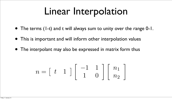#### Linear Interpolation

- The terms (1-t) and t will always sum to unity over the range 0-1.
- This is important and will inform other interpolation values
- The interpolant may also be expressed in matrix form thus

$$
n=\left[\begin{array}{cc}t&1\end{array}\right]
$$

 $\begin{bmatrix} -1 & 1 \\ 1 & 0 \end{bmatrix} \begin{bmatrix} n_1 \\ n_2 \end{bmatrix}$  $\overline{1}$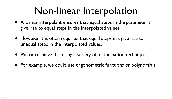#### Non-linear Interpolation

- A Linear interpolant ensures that equal steps in the parameter t give rise to equal steps in the interpolated values.
- However it is often required that equal steps in t give rise to unequal steps in the interpolated values.
- We can achieve this using a variety of mathematical techniques.
- For example, we could use trigonometric functions or polynomials.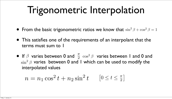- From the basic trigonometric ratios we know that  $\sin^2\beta+\cos^2\beta=1$
- This satisfies one of the requirements of an interpolant that the terms must sum to 1
- If  $\beta$  varies between 0 and  $\frac{\pi}{2}$   $\cos^2 \beta$  varies between 1 and 0 and  $\sin^2\beta$  varies between 0 and 1 which can be used to modify the interpolated values  $\frac{\pi}{2}$  cos<sup>2</sup>  $\beta$ 
	- $n = n_1 \cos^2 t + n_2 \sin^2 t$   $[0 \le t \le \frac{\pi}{2}]$  $\begin{array}{c} \hline \end{array}$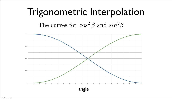#### Trigonometric Interpolation The curves for  $\cos^2 \beta$  and  $\sin^2 \beta$



angle

Friday, 11 January 13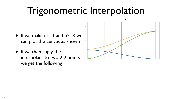- If we make  $n = 1$  and  $n = 3$  we can plot the curves as shown
- If we then apply the interpolant to two 2D points we get the following

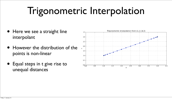- Here we see a straight line interpolant
- However the distribution of the points is non-linear
- Equal steps in t give rise to unequal distances



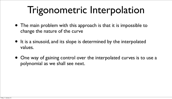- The main problem with this approach is that it is impossible to change the nature of the curve
- It is a sinusoid, and its slope is determined by the interpolated values.
- One way of gaining control over the interpolated curves is to use a polynomial as we shall see next.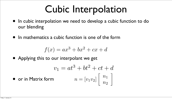- our blending
- In mathematics a cubic function is one of the form

• In cubic interpolation we need to develop a cubic function to do

$$
-bt^2 + ct + d
$$

$$
= [v_1v_2] \begin{bmatrix} n_1 \\ n_2 \end{bmatrix}
$$

$$
f(x) = ax^3 + bx^2 + cx + d
$$

- Applying this to our interpolant we get  $v_1 = at^3 +$
- or in Matrix form  $n =$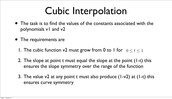- polynomials v1 and v2
- The requirements are
	- 1. The cubic function v2 must grow from 0 to 1 for  $0 \leq t \leq 1$
	- 2. The slope at point t must equal the slope at the point (1-t) this ensures the slope symmetry over the range of the function
	- 3. The value  $v2$  at any point t must also produce (1-v2) at (1-t) this ensures curve symmetry

• The task is to find the values of the constants associated with the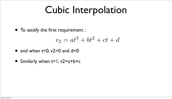- To satisfy the first requirement :  $v_2 = at^3 + bt^2 + ct + d$
- and when  $t=0$ ,  $v2=0$  and  $d=0$
- Similarly when  $t=1$ ,  $v2=a+b+c$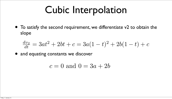• To satisfy the second requirement, we differentiate v2 to obtain the

slope

$$
\frac{dv_2}{dt} = 3at^2 + 2bt + c = 3a(1-t)^2 + 2b(1-t) + c
$$

- and equating constants we discover
	- $c = 0$  and  $0 = 3a + 2b$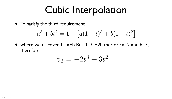- To satisfy the third requirement  $a^3 + bt^2 = 1 - \lceil a \rceil$
- where we discover  $I = a + b$  But 0=3a+2b therfore a=2 and  $b=3$ , therefore

$$
a(1-t)^3 + b(1-t)^2
$$

 $v_2 = -2t$  $3 + 3t^2$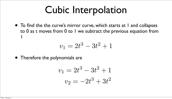• To find the the curve's mirror curve, which starts at I and collapses to 0 as t moves from 0 to 1 we subtract the previous equation from

- 1
	- $v_1 = 2t$

• Therefore the polynomials are

$$
3 - 3t^2 + 1
$$

$$
v_1 = 2t^3 - 3t^2 + 1
$$

$$
v_2 = -2t^3 + 3t^2
$$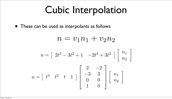• These can be used as interpolants as follows

 $n = [2t^3 - 3t^2 + 1 -2t$ 

 $n = \begin{bmatrix} t^3 & t^2 & t & 1 \end{bmatrix}$ 

$$
n = v_1 n_1 + v_2 n_2
$$
  

$$
2t^3 - 3t^2 + 1 - 2t^3 + 3t^2 \rceil \begin{bmatrix} n_1 \\ n_2 \end{bmatrix}
$$

 $\overline{1}$ 

$$
\left[\begin{array}{cc}2 & -2 \\ -3 & 3 \\ 0 & 0 \\ 1 & 0\end{array}\right]\left[\begin{array}{c}n_1 \\ n_2\end{array}\right]
$$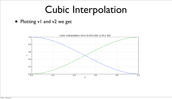#### • Plotting v1 and v2 we get

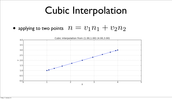#### • applying to two points  $n = v_1 n_1 + v_2 n_2$